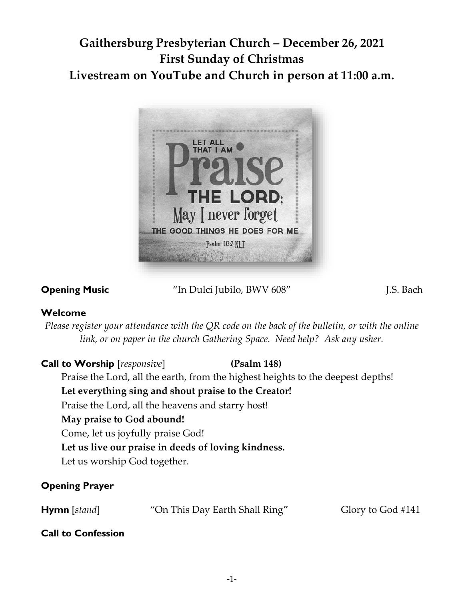# **Gaithersburg Presbyterian Church – December 26, 2021 First Sunday of Christmas Livestream on YouTube and Church in person at 11:00 a.m.**



**Opening Music** "In Dulci Jubilo, BWV 608" J.S. Bach

## **Welcome**

*Please register your attendance with the QR code on the back of the bulletin, or with the online link, or on paper in the church Gathering Space. Need help? Ask any usher.*

| <b>Call to Worship</b> [responsive]                  | (Psalm 148)                                                                     |
|------------------------------------------------------|---------------------------------------------------------------------------------|
|                                                      | Praise the Lord, all the earth, from the highest heights to the deepest depths! |
| Let everything sing and shout praise to the Creator! |                                                                                 |
| Praise the Lord, all the heavens and starry host!    |                                                                                 |
| May praise to God abound!                            |                                                                                 |
| Come, let us joyfully praise God!                    |                                                                                 |
| Let us live our praise in deeds of loving kindness.  |                                                                                 |
| Let us worship God together.                         |                                                                                 |
| <b>Opening Prayer</b>                                |                                                                                 |

# **Call to Confession**

**Hymn** [*stand*] "On This Day Earth Shall Ring" Glory to God #141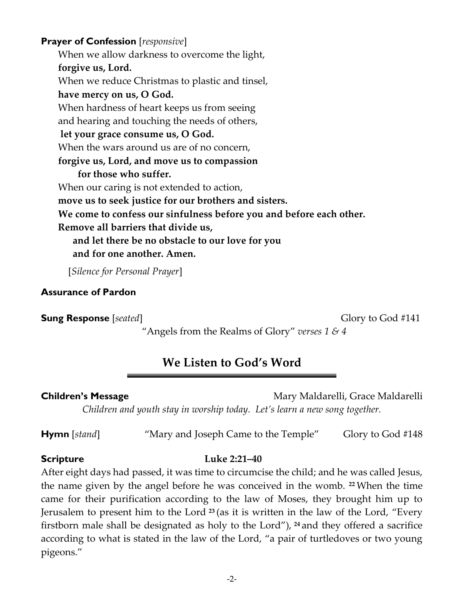# **Prayer of Confession** [*responsive*] When we allow darkness to overcome the light, **forgive us, Lord.** When we reduce Christmas to plastic and tinsel, **have mercy on us, O God.** When hardness of heart keeps us from seeing and hearing and touching the needs of others, **let your grace consume us, O God.** When the wars around us are of no concern. **forgive us, Lord, and move us to compassion for those who suffer.** When our caring is not extended to action, **move us to seek justice for our brothers and sisters. We come to confess our sinfulness before you and before each other. Remove all barriers that divide us, and let there be no obstacle to our love for you and for one another. Amen.** [*Silence for Personal Prayer*]

### **Assurance of Pardon**

**Sung Response** [*seated*] Glory to God #141

"Angels from the Realms of Glory" *verses 1 & 4*

# **We Listen to God's Word**

**Children's Message** Mary Maldarelli, Grace Maldarelli *Children and youth stay in worship today. Let's learn a new song together.* 

**Hymn** [*stand*] "Mary and Joseph Came to the Temple" Glory to God #148

## **Scripture Luke 2:21–40**

After eight days had passed, it was time to circumcise the child; and he was called Jesus, the name given by the angel before he was conceived in the womb. **<sup>22</sup>**When the time came for their purification according to the law of Moses, they brought him up to Jerusalem to present him to the Lord **<sup>23</sup>** (as it is written in the law of the Lord, "Every firstborn male shall be designated as holy to the Lord"), **<sup>24</sup>** and they offered a sacrifice according to what is stated in the law of the Lord, "a pair of turtledoves or two young pigeons."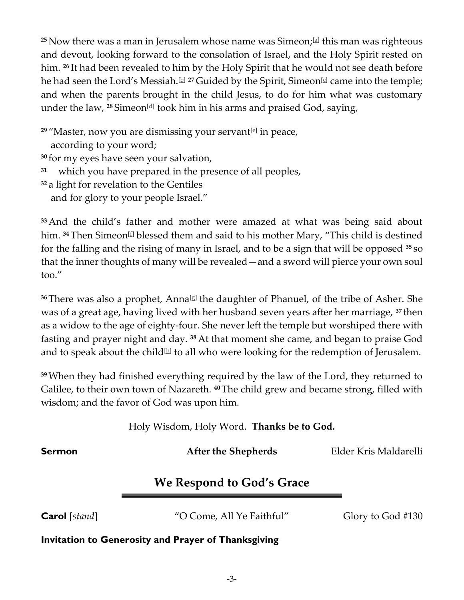<sup>25</sup> Now there was a man in Jerusalem whose name was Simeon; this man was righteous and devout, looking forward to the consolation of Israel, and [th](https://www.biblegateway.com/passage/?search=Luke%202%3A21-40&version=NRSV#fen-NRSV-24991a)e Holy Spirit rested on him. **<sup>26</sup>** It had been revealed to him by the Holy Spirit that he would not see death before he had seen the Lord's Messiah.<sup>[\[b\]](https://www.biblegateway.com/passage/?search=Luke%202%3A21-40&version=NRSV#fen-NRSV-24992b) 27</sup> Guided by the Spirit, Simeon<sup>[\[c\]](https://www.biblegateway.com/passage/?search=Luke%202%3A21-40&version=NRSV#fen-NRSV-24993c)</sup> came into the temple; and when the parents brought in the child Jesus, to do for him what was customary under the law, **<sup>28</sup>** Simeon[\[d\]](https://www.biblegateway.com/passage/?search=Luke%202%3A21-40&version=NRSV#fen-NRSV-24994d) took him in his arms and praised God, saying,

<sup>29</sup> "Master*,* now you are dismissing your servant<sup>[\[e\]](https://www.biblegateway.com/passage/?search=Luke%202%3A21-40&version=NRSV#fen-NRSV-24995e)</sup> in peace,

according to your word;

**<sup>30</sup>** for my eyes have seen your salvation,

**31** which you have prepared in the presence of all peoples,

**<sup>32</sup>** a light for revelation to the Gentiles

and for glory to your people Israel."

**<sup>33</sup>**And the child's father and mother were amazed at what was being said about him. <sup>34</sup> Then Simeon<sup>[\[f\]](https://www.biblegateway.com/passage/?search=Luke%202%3A21-40&version=NRSV#fen-NRSV-25000f)</sup> blessed them and said to his mother Mary, "This child is destined for the falling and the rising of many in Israel, and to be a sign that will be opposed **<sup>35</sup>** so that the inner thoughts of many will be revealed—and a sword will pierce your own soul too."

<sup>36</sup>There was also a prophet, Anna<sup>[\[g\]](https://www.biblegateway.com/passage/?search=Luke%202%3A21-40&version=NRSV#fen-NRSV-25002g)</sup> the daughter of Phanuel, of the tribe of Asher. She was of a great age, having lived with her husband seven years after her marriage, **<sup>37</sup>** then as a widow to the age of eighty-four. She never left the temple but worshiped there with fasting and prayer night and day. **<sup>38</sup>** At that moment she came, and began to praise God and to speak about the child $\mathbb H$  to all who were looking for the redemption of Jerusalem.

**<sup>39</sup>**When they had finished everything required by the law of the Lord, they returned to Galilee, to their own town of Nazareth. **<sup>40</sup>**The child grew and became strong, filled with wisdom; and the favor of God was upon him.

Holy Wisdom, Holy Word. **Thanks be to God.**

**Sermon** *After the Shepherds* Elder Kris Maldarelli

# **We Respond to God's Grace**

**Carol** [*stand*]"O Come, All Ye Faithful" Glory to God #130

# **Invitation to Generosity and Prayer of Thanksgiving**